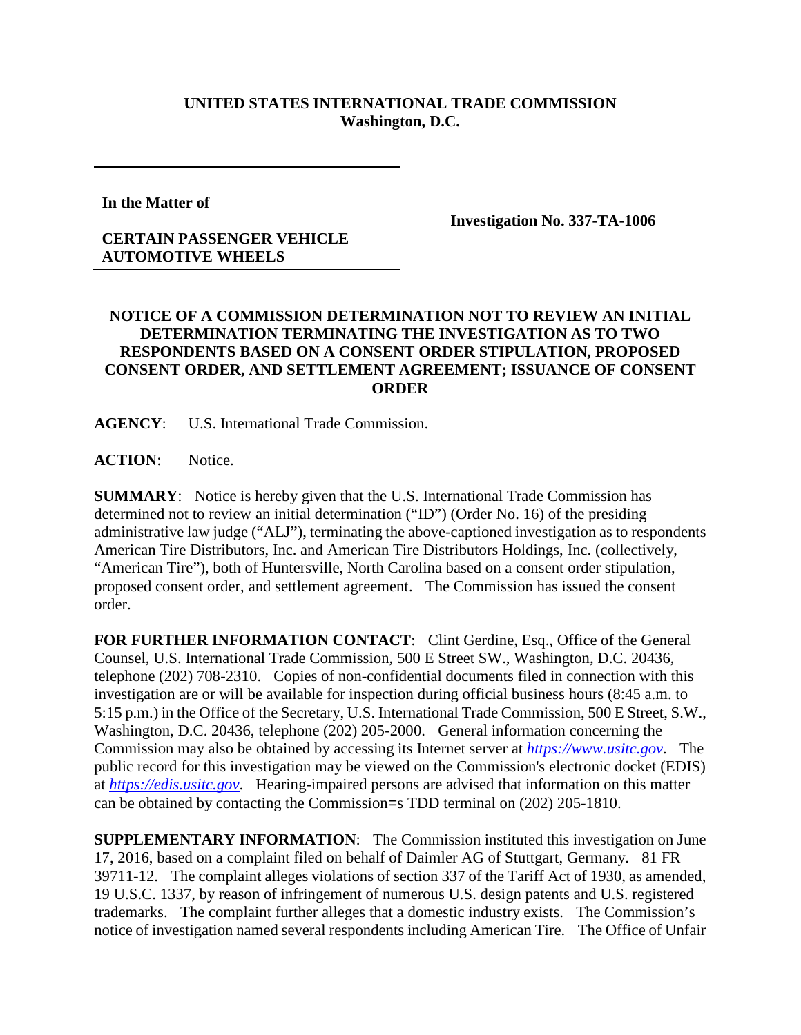## **UNITED STATES INTERNATIONAL TRADE COMMISSION Washington, D.C.**

**In the Matter of** 

## **CERTAIN PASSENGER VEHICLE AUTOMOTIVE WHEELS**

**Investigation No. 337-TA-1006**

## **NOTICE OF A COMMISSION DETERMINATION NOT TO REVIEW AN INITIAL DETERMINATION TERMINATING THE INVESTIGATION AS TO TWO RESPONDENTS BASED ON A CONSENT ORDER STIPULATION, PROPOSED CONSENT ORDER, AND SETTLEMENT AGREEMENT; ISSUANCE OF CONSENT ORDER**

**AGENCY**: U.S. International Trade Commission.

ACTION: Notice.

**SUMMARY**: Notice is hereby given that the U.S. International Trade Commission has determined not to review an initial determination ("ID") (Order No. 16) of the presiding administrative law judge ("ALJ"), terminating the above-captioned investigation as to respondents American Tire Distributors, Inc. and American Tire Distributors Holdings, Inc. (collectively, "American Tire"), both of Huntersville, North Carolina based on a consent order stipulation, proposed consent order, and settlement agreement. The Commission has issued the consent order.

FOR FURTHER INFORMATION CONTACT: Clint Gerdine, Esq., Office of the General Counsel, U.S. International Trade Commission, 500 E Street SW., Washington, D.C. 20436, telephone (202) 708-2310. Copies of non-confidential documents filed in connection with this investigation are or will be available for inspection during official business hours (8:45 a.m. to 5:15 p.m.) in the Office of the Secretary, U.S. International Trade Commission, 500 E Street, S.W., Washington, D.C. 20436, telephone (202) 205-2000. General information concerning the Commission may also be obtained by accessing its Internet server at *[https://www.usitc.gov](https://www.usitc.gov/)*. The public record for this investigation may be viewed on the Commission's electronic docket (EDIS) at *[https://edis.usitc.gov](https://edis.usitc.gov/)*. Hearing-impaired persons are advised that information on this matter can be obtained by contacting the Commission=s TDD terminal on (202) 205-1810.

**SUPPLEMENTARY INFORMATION**: The Commission instituted this investigation on June 17, 2016, based on a complaint filed on behalf of Daimler AG of Stuttgart, Germany. 81 FR 39711-12. The complaint alleges violations of section 337 of the Tariff Act of 1930, as amended, 19 U.S.C. 1337, by reason of infringement of numerous U.S. design patents and U.S. registered trademarks. The complaint further alleges that a domestic industry exists. The Commission's notice of investigation named several respondents including American Tire. The Office of Unfair